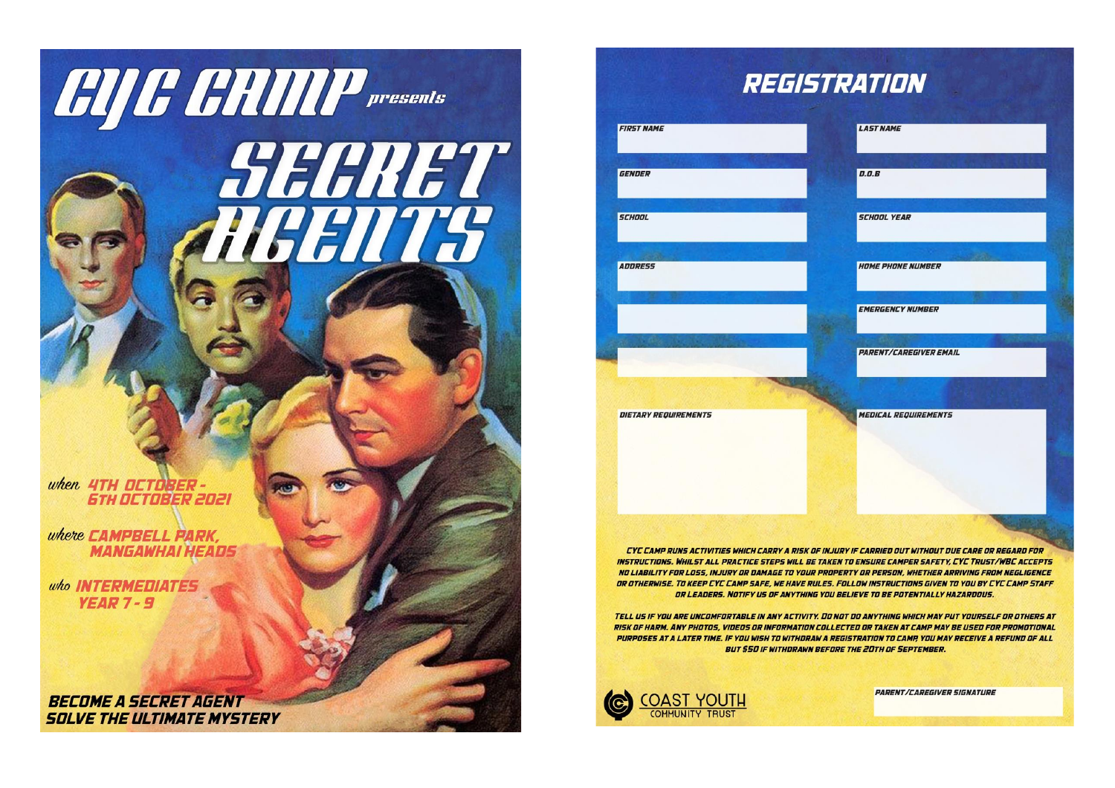

# REGISTRATION

| <b>RST NAME</b>           | <b>LAST NAME</b>              |  |
|---------------------------|-------------------------------|--|
| ENDER                     | <b>D.O.B</b>                  |  |
| <b>CHOOL</b>              | <b>SCHOOL YEAR</b>            |  |
| <b>JDRESS</b>             | <b>HOME PHONE NUMBER</b>      |  |
|                           | <b>EMERGENCY NUMBER</b>       |  |
|                           | <b>PARENT/CAREGIVER EMAIL</b> |  |
|                           |                               |  |
| <b>ETARY REQUIREMENTS</b> | <b>MEDICAL REQUIREMENTS</b>   |  |
|                           |                               |  |
|                           |                               |  |

CYC CAMP RUNS ACTIVITIES WHICH CARRY A RISK OF INJURY IF CARRIED OUT WITHOUT DUE CARE OR REGARD FOR INSTRUCTIONS. WHILST ALL PRACTICE STEPS WILL BE TAKEN TO ENSURE CAMPER SAFETY, CYC TRUST/WBC ACCEPTS NO LIABILITY FOR LOSS, INJURY OR DAMAGE TO YOUR PROPERTY OR PERSON, WHETHER ARRIVING FROM NEGLIGENCE OR OTHERWISE. TO KEEP CYC CAMP SAFE, WE HAVE RULES. FOLLOW INSTRUCTIONS GIVEN TO YOU BY CYC CAMP STAFF OR LEADERS. NOTIFY US OF ANYTHING YOU BELIEVE TO BE POTENTIALLY HAZARDOUS.

TELL US IF YOU ARE UNCOMFORTABLE IN ANY ACTIVITY. DO NOT DO ANYTHING WHICH MAY PUT YOURSELF OR OTHERS AT RISK OF HARM. ANY PHOTOS, VIDEOS OR INFORMATION COLLECTED OR TAKEN AT CAMP MAY BE USED FOR PROMOTIONAL PURPOSES AT A LATER TIME. IF YOU WISH TO WITHDRAW A REGISTRATION TO CAMP, YOU MAY RECEIVE A REFUND OF ALL **BUT \$50 IF WITHDRAWN BEFORE THE 20TH OF SEPTEMBER.** 

**PARENT/CAREGIVER SIGNATURE** 

**COAST YOUTH**